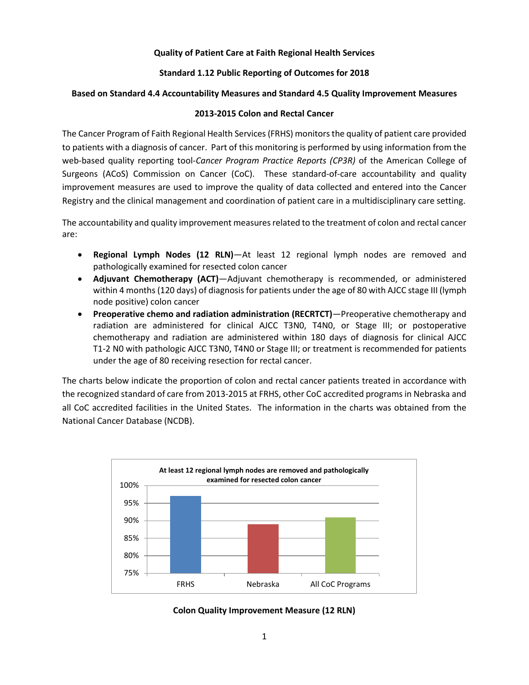# **Quality of Patient Care at Faith Regional Health Services**

# **Standard 1.12 Public Reporting of Outcomes for 2018**

## **Based on Standard 4.4 Accountability Measures and Standard 4.5 Quality Improvement Measures**

## **2013-2015 Colon and Rectal Cancer**

The Cancer Program of Faith Regional Health Services (FRHS) monitors the quality of patient care provided to patients with a diagnosis of cancer. Part of this monitoring is performed by using information from the web-based quality reporting tool-*Cancer Program Practice Reports (CP3R)* of the American College of Surgeons (ACoS) Commission on Cancer (CoC). These standard-of-care accountability and quality improvement measures are used to improve the quality of data collected and entered into the Cancer Registry and the clinical management and coordination of patient care in a multidisciplinary care setting.

The accountability and quality improvement measures related to the treatment of colon and rectal cancer are:

- **Regional Lymph Nodes (12 RLN)**—At least 12 regional lymph nodes are removed and pathologically examined for resected colon cancer
- **Adjuvant Chemotherapy (ACT)**—Adjuvant chemotherapy is recommended, or administered within 4 months (120 days) of diagnosis for patients under the age of 80 with AJCC stage III (lymph node positive) colon cancer
- **Preoperative chemo and radiation administration (RECRTCT)**—Preoperative chemotherapy and radiation are administered for clinical AJCC T3N0, T4N0, or Stage III; or postoperative chemotherapy and radiation are administered within 180 days of diagnosis for clinical AJCC T1-2 N0 with pathologic AJCC T3N0, T4N0 or Stage III; or treatment is recommended for patients under the age of 80 receiving resection for rectal cancer.

The charts below indicate the proportion of colon and rectal cancer patients treated in accordance with the recognized standard of care from 2013-2015 at FRHS, other CoC accredited programs in Nebraska and all CoC accredited facilities in the United States. The information in the charts was obtained from the National Cancer Database (NCDB).



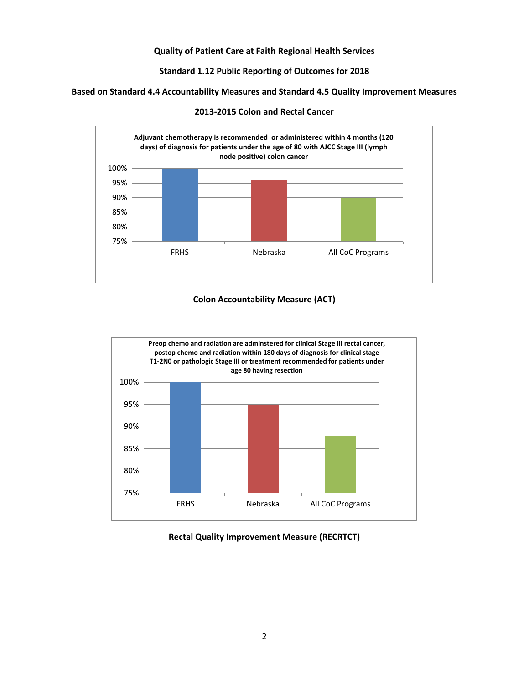## **Quality of Patient Care at Faith Regional Health Services**

**Standard 1.12 Public Reporting of Outcomes for 2018**

**Based on Standard 4.4 Accountability Measures and Standard 4.5 Quality Improvement Measures** 



**2013-2015 Colon and Rectal Cancer** 

# **Colon Accountability Measure (ACT)**



#### **Rectal Quality Improvement Measure (RECRTCT)**